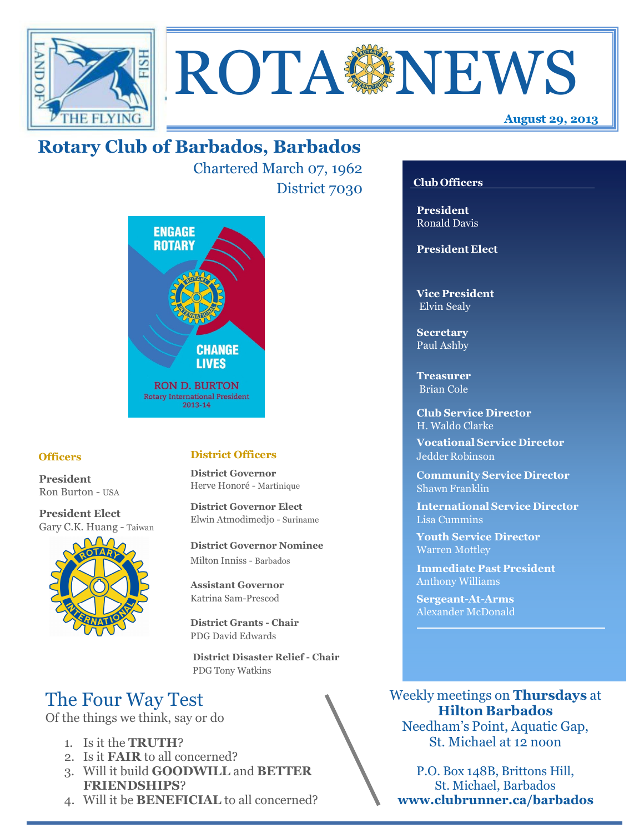



# **Rotary Club of Barbados, Barbados**

Chartered March 07, 1962 District 7030 **Club Officers**



#### **Officers**

**President** Ron Burton - USA

**President Elect** Gary C.K. Huang - Taiwan



#### **District Officers**

**District Governor** Herve Honoré - Martinique

**District Governor Elect** Elwin Atmodimedjo - Suriname

**District Governor Nominee**  Milton Inniss - Barbados

**Assistant Governor**  Katrina Sam-Prescod

**District Grants - Chair**  PDG David Edwards

 **District Disaster Relief - Chair** PDG Tony Watkins

# The Four Way Test

Of the things we think, say or do

- 1. Is it the **TRUTH**?
- 2. Is it **FAIR** to all concerned?
- 3. Will it build **GOODWILL** and **BETTER FRIENDSHIPS**?
- 4. Will it be **BENEFICIAL** to all concerned?

**President** Ronald Davis

**President Elect**

**Vice President** Elvin Sealy

**Secretary** Paul Ashby

**Treasurer** Brian Cole

**Club Service Director** H. Waldo Clarke

**Vocational Service Director** Jedder Robinson

**Community Service Director** Shawn Franklin

**International Service Director** Lisa Cummins

**Youth Service Director** Warren Mottley

**Immediate Past President** Anthony Williams

**Sergeant-At-Arms** Alexander McDonald

Weekly meetings on **Thursdays** at **Hilton Barbados** Needham's Point, Aquatic Gap, St. Michael at 12 noon

P.O. Box 148B, Brittons Hill, St. Michael, Barbados **www.clubrunner.ca/barbados**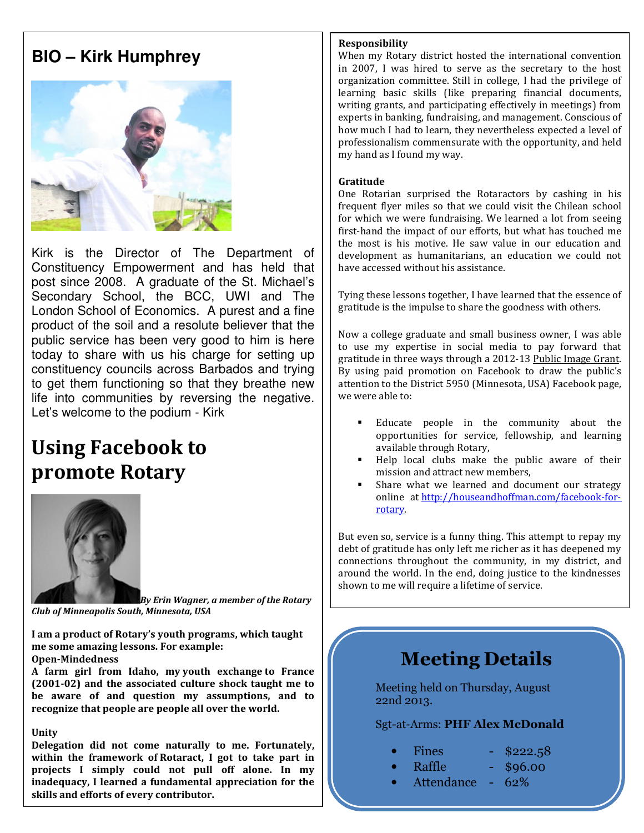# **BIO – Kirk Humphrey**



Kirk is the Director of The Department of Constituency Empowerment and has held that post since 2008. A graduate of the St. Michael's Secondary School, the BCC, UWI and The London School of Economics. A purest and a fine product of the soil and a resolute believer that the public service has been very good to him is here today to share with us his charge for setting up constituency councils across Barbados and trying to get them functioning so that they breathe new life into communities by reversing the negative. Let's welcome to the podium - Kirk

# **Using Facebook to promote Rotary**



*By Erin Wagner, a member of the Rotary Club of Minneapolis South, Minnesota, USA*

**I am a product of Rotary's youth programs, which taught me some amazing lessons. For example:** 

**Open-Mindedness** 

**A farm girl from Idaho, my youth exchange to France (2001-02) and the associated culture shock taught me to be aware of and question my assumptions, and to recognize that people are people all over the world.** 

#### **Unity**

**Delegation did not come naturally to me. Fortunately, within the framework of Rotaract, I got to take part in projects I simply could not pull off alone. In my inadequacy, I learned a fundamental appreciation for the skills and efforts of every contributor.** 

#### **Responsibility**

When my Rotary district hosted the international convention in 2007, I was hired to serve as the secretary to the host organization committee. Still in college, I had the privilege of learning basic skills (like preparing financial documents, writing grants, and participating effectively in meetings) from experts in banking, fundraising, and management. Conscious of how much I had to learn, they nevertheless expected a level of professionalism commensurate with the opportunity, and held my hand as I found my way.

#### **Gratitude**

One Rotarian surprised the Rotaractors by cashing in his frequent flyer miles so that we could visit the Chilean school for which we were fundraising. We learned a lot from seeing first-hand the impact of our efforts, but what has touched me the most is his motive. He saw value in our education and development as humanitarians, an education we could not have accessed without his assistance.

Tying these lessons together, I have learned that the essence of gratitude is the impulse to share the goodness with others.

Now a college graduate and small business owner, I was able to use my expertise in social media to pay forward that gratitude in three ways through a 2012-13 Public Image Grant. By using paid promotion on Facebook to draw the public's attention to the District 5950 (Minnesota, USA) Facebook page, we were able to:

- Educate people in the community about the opportunities for service, fellowship, and learning available through Rotary,
- Help local clubs make the public aware of their mission and attract new members,
- Share what we learned and document our strategy online at http://houseandhoffman.com/facebook-forrotary.

But even so, service is a funny thing. This attempt to repay my debt of gratitude has only left me richer as it has deepened my connections throughout the community, in my district, and around the world. In the end, doing justice to the kindnesses shown to me will require a lifetime of service.

# **Meeting Details**

Meeting held on Thursday, August 22nd 2013.

Sgt-at-Arms: **PHF Alex McDonald**

- $Fines$  \$222.58
	- Raffle \$96.00
- Attendance 62%
- 
-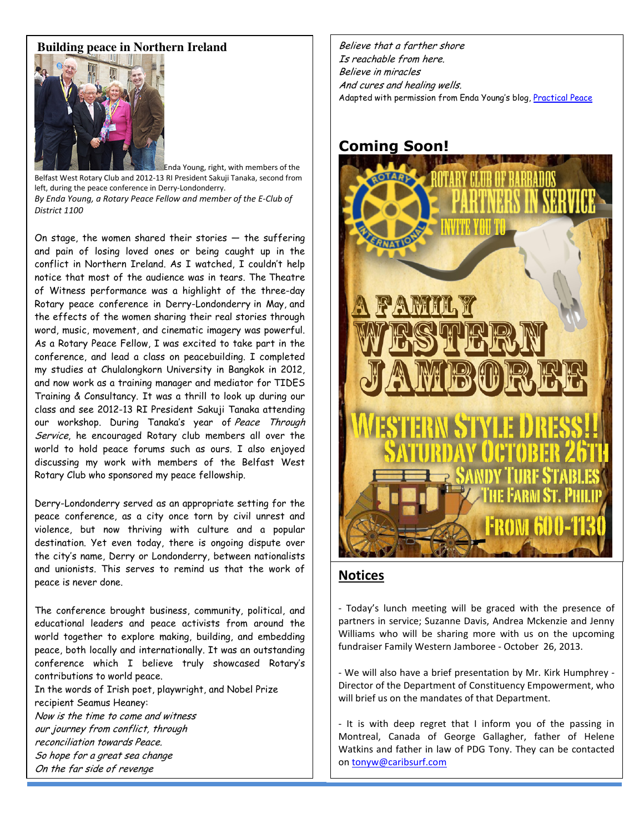#### **Building peace in Northern Ireland**



Enda Young, right, with members of the Belfast West Rotary Club and 2012-13 RI President Sakuji Tanaka, second from left, during the peace conference in Derry-Londonderry. *By Enda Young, a Rotary Peace Fellow and member of the E-Club of District 1100*

On stage, the women shared their stories  $-$  the suffering and pain of losing loved ones or being caught up in the conflict in Northern Ireland. As I watched, I couldn't help notice that most of the audience was in tears. The Theatre of Witness performance was a highlight of the three-day Rotary peace conference in Derry-Londonderry in May, and the effects of the women sharing their real stories through word, music, movement, and cinematic imagery was powerful. As a Rotary Peace Fellow, I was excited to take part in the conference, and lead a class on peacebuilding. I completed my studies at Chulalongkorn University in Bangkok in 2012, and now work as a training manager and mediator for TIDES Training & Consultancy. It was a thrill to look up during our class and see 2012-13 RI President Sakuji Tanaka attending our workshop. During Tanaka's year of Peace Through Service, he encouraged Rotary club members all over the world to hold peace forums such as ours. I also enjoyed discussing my work with members of the Belfast West Rotary Club who sponsored my peace fellowship.

Derry-Londonderry served as an appropriate setting for the peace conference, as a city once torn by civil unrest and violence, but now thriving with culture and a popular destination. Yet even today, there is ongoing dispute over the city's name, Derry or Londonderry, between nationalists and unionists. This serves to remind us that the work of peace is never done.

The conference brought business, community, political, and educational leaders and peace activists from around the world together to explore making, building, and embedding peace, both locally and internationally. It was an outstanding conference which I believe truly showcased Rotary's contributions to world peace.

In the words of Irish poet, playwright, and Nobel Prize recipient Seamus Heaney:

Now is the time to come and witness our journey from conflict, through reconciliation towards Peace. So hope for a great sea change On the far side of revenge

Believe that a farther shore Is reachable from here. Believe in miracles And cures and healing wells. Adapted with permission from Enda Young's blog, Practical Peace

#### **Coming Soon!**



#### **Notices**

- Today's lunch meeting will be graced with the presence of partners in service; Suzanne Davis, Andrea Mckenzie and Jenny Williams who will be sharing more with us on the upcoming fundraiser Family Western Jamboree - October 26, 2013.

- We will also have a brief presentation by Mr. Kirk Humphrey - Director of the Department of Constituency Empowerment, who will brief us on the mandates of that Department.

- It is with deep regret that I inform you of the passing in Montreal, Canada of George Gallagher, father of Helene Watkins and father in law of PDG Tony. They can be contacted on tonyw@caribsurf.com